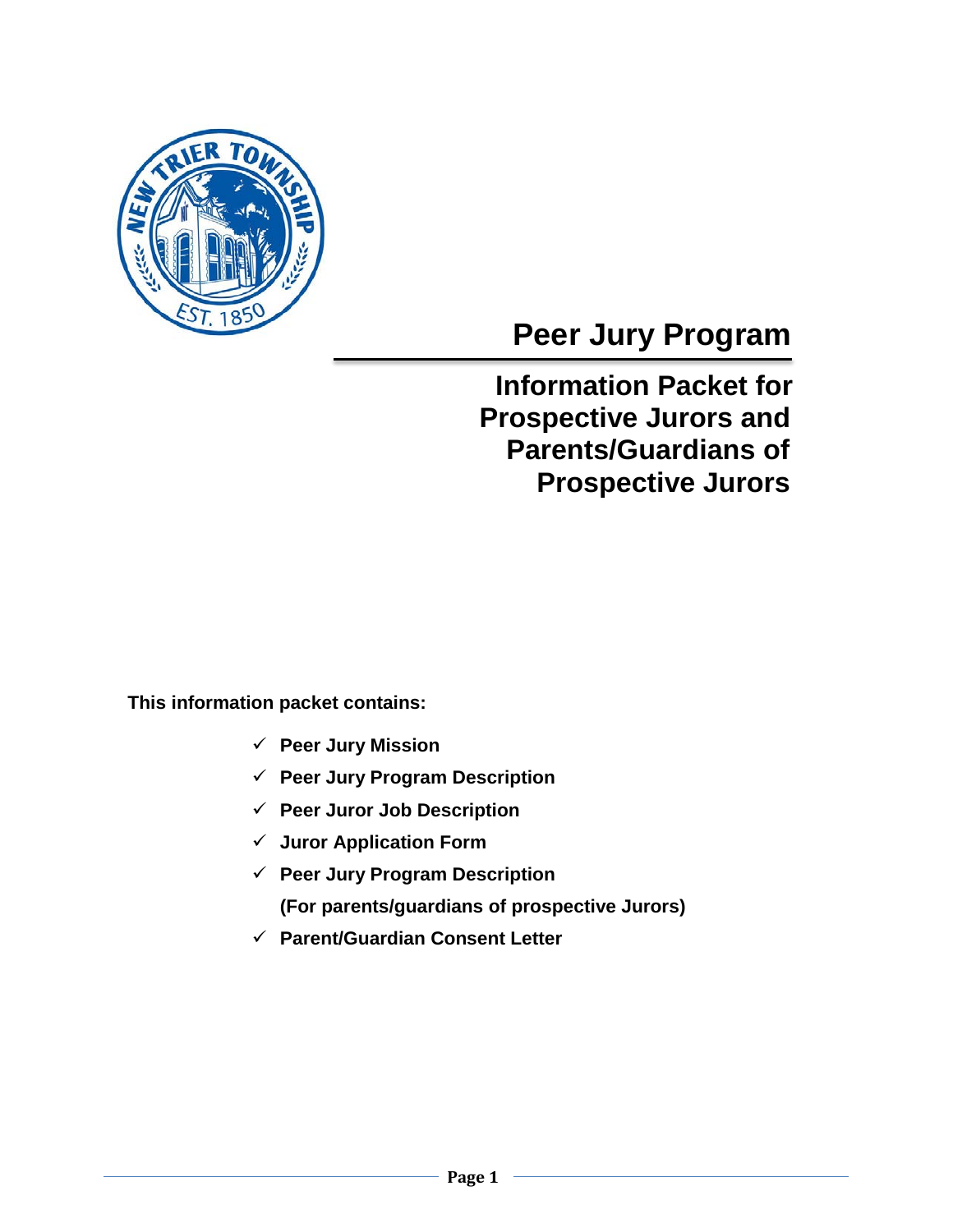

# **Peer Jury Program**

## **Information Packet for Prospective Jurors and Parents/Guardians of Prospective Jurors**

 **This information packet contains:**

- **Peer Jury Mission**
- **Peer Jury Program Description**
- **Peer Juror Job Description**
- **Juror Application Form**
- **Peer Jury Program Description (For parents/guardians of prospective Jurors)**
- **Parent/Guardian Consent Letter**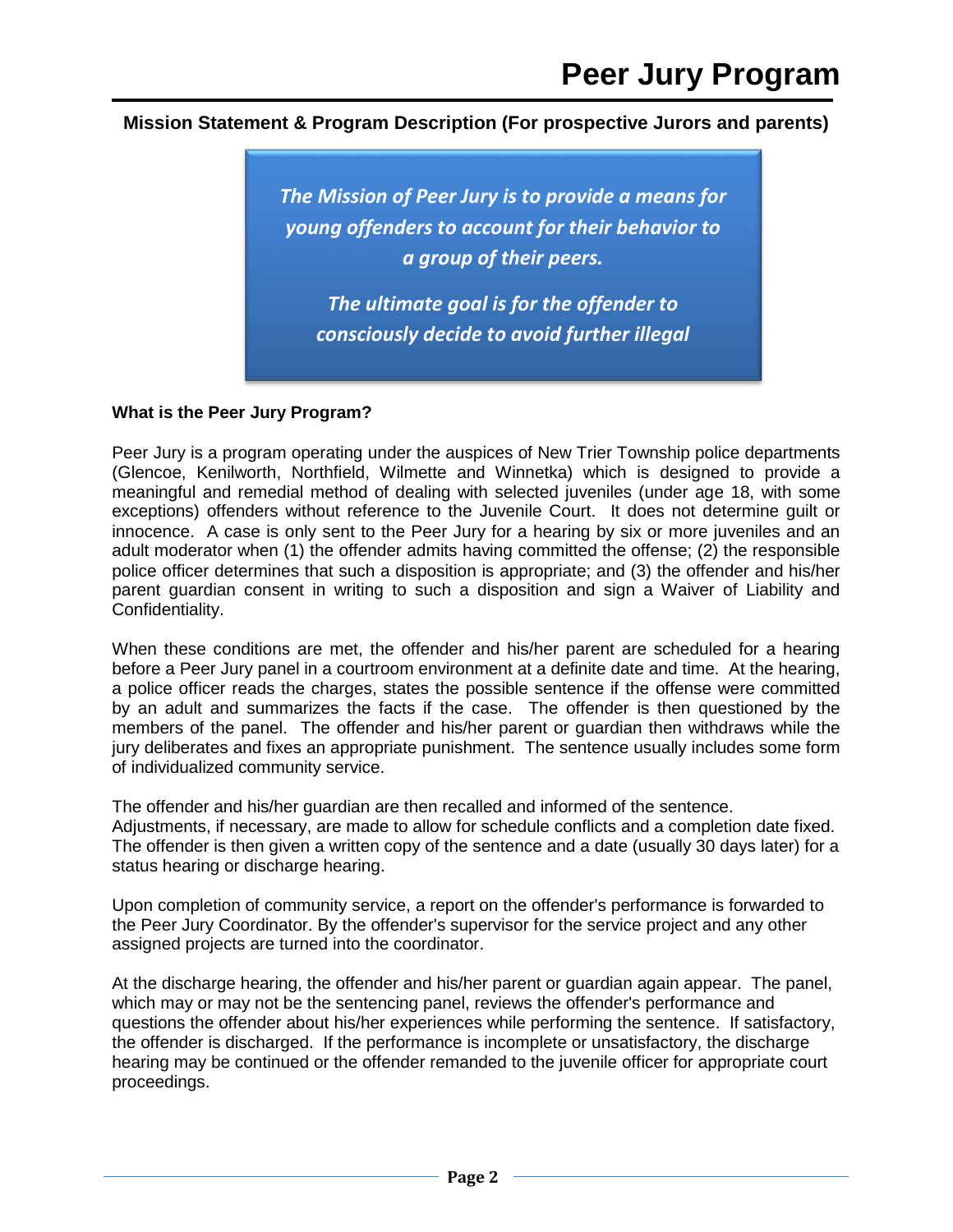#### **Mission Statement & Program Description (For prospective Jurors and parents)**



#### **What is the Peer Jury Program?**

Peer Jury is a program operating under the auspices of New Trier Township police departments (Glencoe, Kenilworth, Northfield, Wilmette and Winnetka) which is designed to provide a meaningful and remedial method of dealing with selected juveniles (under age 18, with some exceptions) offenders without reference to the Juvenile Court. It does not determine guilt or innocence. A case is only sent to the Peer Jury for a hearing by six or more juveniles and an adult moderator when (1) the offender admits having committed the offense; (2) the responsible police officer determines that such a disposition is appropriate; and (3) the offender and his/her parent guardian consent in writing to such a disposition and sign a Waiver of Liability and Confidentiality.

When these conditions are met, the offender and his/her parent are scheduled for a hearing before a Peer Jury panel in a courtroom environment at a definite date and time. At the hearing, a police officer reads the charges, states the possible sentence if the offense were committed by an adult and summarizes the facts if the case. The offender is then questioned by the members of the panel. The offender and his/her parent or guardian then withdraws while the jury deliberates and fixes an appropriate punishment. The sentence usually includes some form of individualized community service.

The offender and his/her guardian are then recalled and informed of the sentence. Adjustments, if necessary, are made to allow for schedule conflicts and a completion date fixed. The offender is then given a written copy of the sentence and a date (usually 30 days later) for a status hearing or discharge hearing.

Upon completion of community service, a report on the offender's performance is forwarded to the Peer Jury Coordinator. By the offender's supervisor for the service project and any other assigned projects are turned into the coordinator.

At the discharge hearing, the offender and his/her parent or guardian again appear. The panel, which may or may not be the sentencing panel, reviews the offender's performance and questions the offender about his/her experiences while performing the sentence. If satisfactory, the offender is discharged. If the performance is incomplete or unsatisfactory, the discharge hearing may be continued or the offender remanded to the juvenile officer for appropriate court proceedings.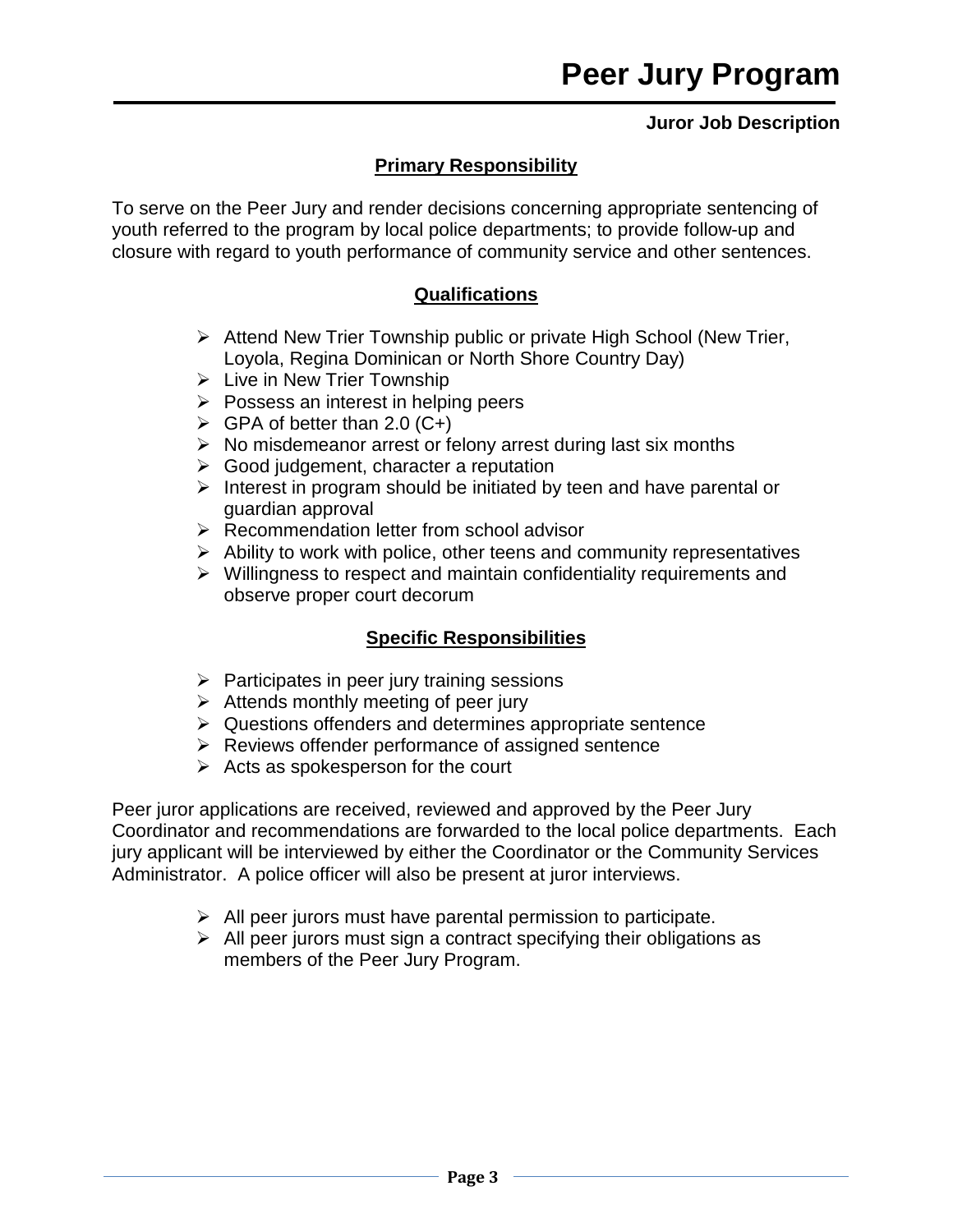### **Juror Job Description**

## **Primary Responsibility**

To serve on the Peer Jury and render decisions concerning appropriate sentencing of youth referred to the program by local police departments; to provide follow-up and closure with regard to youth performance of community service and other sentences.

### **Qualifications**

- Attend New Trier Township public or private High School (New Trier, Loyola, Regina Dominican or North Shore Country Day)
- $\triangleright$  Live in New Trier Township
- $\triangleright$  Possess an interest in helping peers
- $\triangleright$  GPA of better than 2.0 (C+)
- $\triangleright$  No misdemeanor arrest or felony arrest during last six months
- $\triangleright$  Good judgement, character a reputation
- $\triangleright$  Interest in program should be initiated by teen and have parental or guardian approval
- $\triangleright$  Recommendation letter from school advisor
- $\triangleright$  Ability to work with police, other teens and community representatives
- $\triangleright$  Willingness to respect and maintain confidentiality requirements and observe proper court decorum

## **Specific Responsibilities**

- $\triangleright$  Participates in peer jury training sessions
- $\triangleright$  Attends monthly meeting of peer jury
- $\triangleright$  Questions offenders and determines appropriate sentence
- $\triangleright$  Reviews offender performance of assigned sentence
- $\triangleright$  Acts as spokesperson for the court

Peer juror applications are received, reviewed and approved by the Peer Jury Coordinator and recommendations are forwarded to the local police departments. Each jury applicant will be interviewed by either the Coordinator or the Community Services Administrator. A police officer will also be present at juror interviews.

- $\triangleright$  All peer jurors must have parental permission to participate.
- $\triangleright$  All peer jurors must sign a contract specifying their obligations as members of the Peer Jury Program.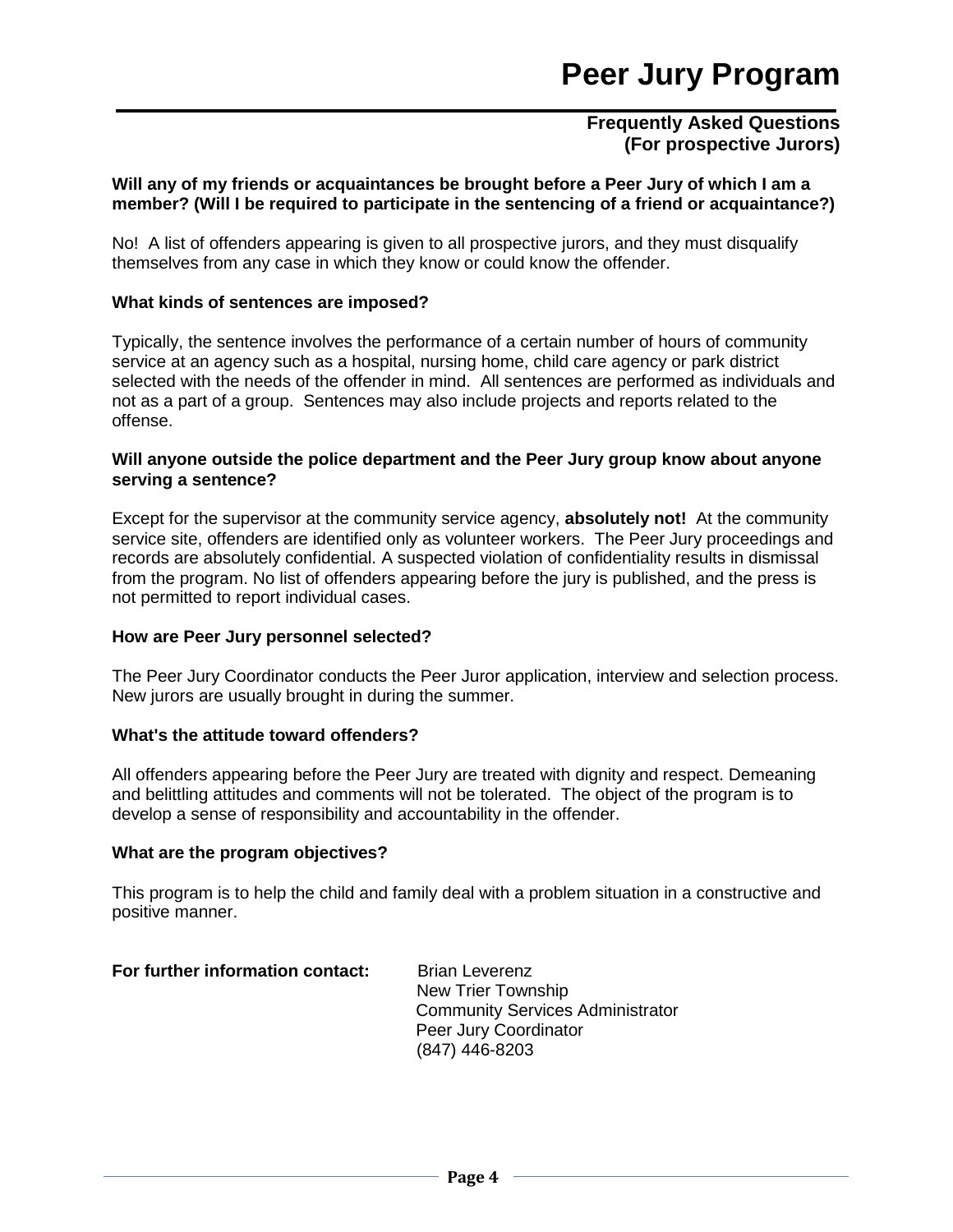#### **Frequently Asked Questions (For prospective Jurors)**

#### **Will any of my friends or acquaintances be brought before a Peer Jury of which I am a member? (Will I be required to participate in the sentencing of a friend or acquaintance?)**

No! A list of offenders appearing is given to all prospective jurors, and they must disqualify themselves from any case in which they know or could know the offender.

#### **What kinds of sentences are imposed?**

Typically, the sentence involves the performance of a certain number of hours of community service at an agency such as a hospital, nursing home, child care agency or park district selected with the needs of the offender in mind. All sentences are performed as individuals and not as a part of a group. Sentences may also include projects and reports related to the offense.

#### **Will anyone outside the police department and the Peer Jury group know about anyone serving a sentence?**

Except for the supervisor at the community service agency, **absolutely not!** At the community service site, offenders are identified only as volunteer workers. The Peer Jury proceedings and records are absolutely confidential. A suspected violation of confidentiality results in dismissal from the program. No list of offenders appearing before the jury is published, and the press is not permitted to report individual cases.

#### **How are Peer Jury personnel selected?**

The Peer Jury Coordinator conducts the Peer Juror application, interview and selection process. New jurors are usually brought in during the summer.

#### **What's the attitude toward offenders?**

All offenders appearing before the Peer Jury are treated with dignity and respect. Demeaning and belittling attitudes and comments will not be tolerated. The object of the program is to develop a sense of responsibility and accountability in the offender.

#### **What are the program objectives?**

This program is to help the child and family deal with a problem situation in a constructive and positive manner.

| For further information contact: | <b>Brian Leverenz</b>                   |
|----------------------------------|-----------------------------------------|
|                                  | New Trier Township                      |
|                                  | <b>Community Services Administrator</b> |
|                                  | Peer Jury Coordinator                   |
|                                  | (847) 446-8203                          |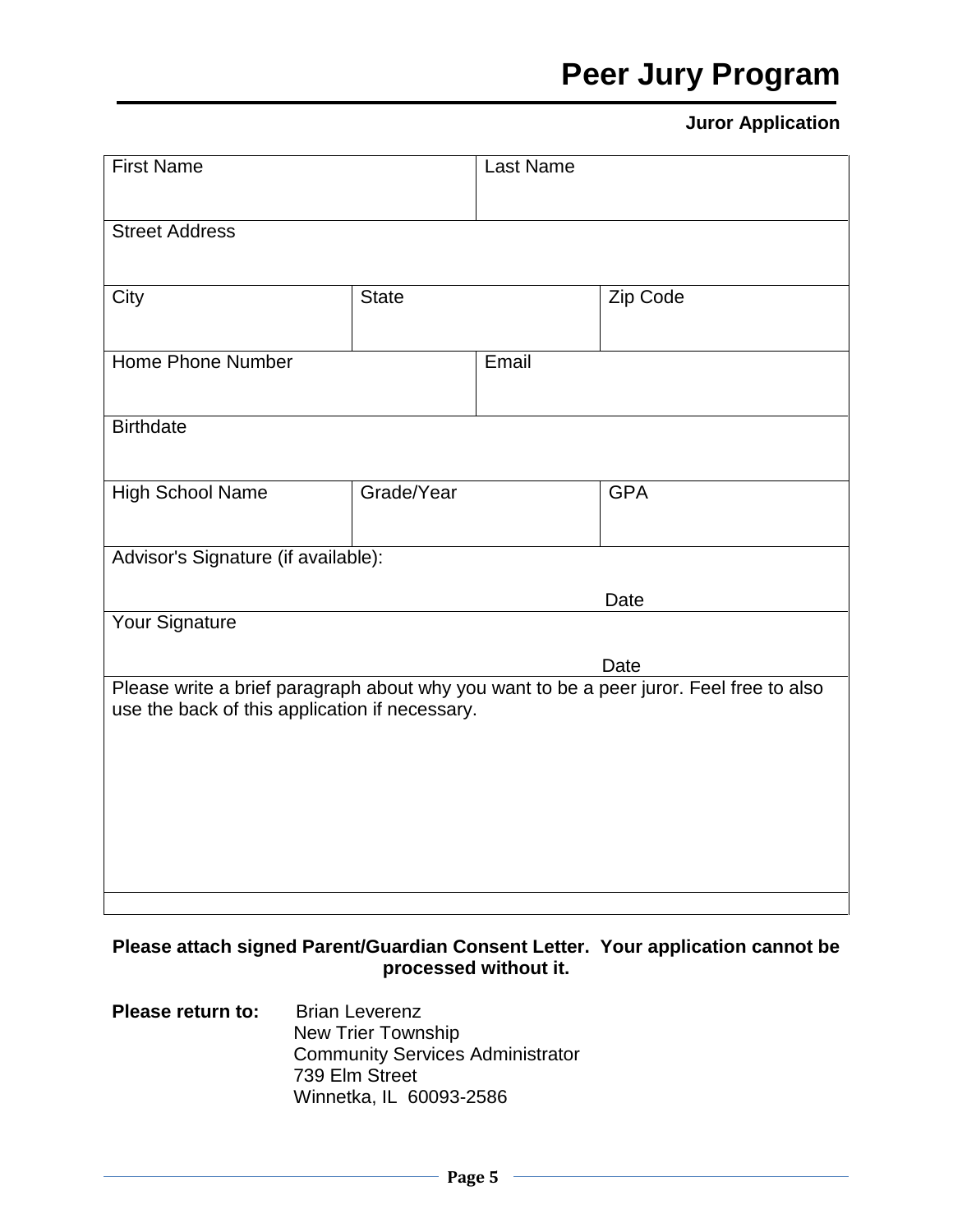## **Peer Jury Program**

## **Juror Application**

| <b>First Name</b>                                                                                                                         |              | Last Name |            |  |
|-------------------------------------------------------------------------------------------------------------------------------------------|--------------|-----------|------------|--|
| <b>Street Address</b>                                                                                                                     |              |           |            |  |
|                                                                                                                                           |              |           |            |  |
| City                                                                                                                                      | <b>State</b> |           | Zip Code   |  |
|                                                                                                                                           |              |           |            |  |
| Home Phone Number                                                                                                                         |              | Email     |            |  |
| <b>Birthdate</b>                                                                                                                          |              |           |            |  |
|                                                                                                                                           |              |           |            |  |
| <b>High School Name</b>                                                                                                                   | Grade/Year   |           | <b>GPA</b> |  |
| Advisor's Signature (if available):                                                                                                       |              |           |            |  |
|                                                                                                                                           |              |           |            |  |
| Date<br><b>Your Signature</b>                                                                                                             |              |           |            |  |
|                                                                                                                                           |              |           | Date       |  |
| Please write a brief paragraph about why you want to be a peer juror. Feel free to also<br>use the back of this application if necessary. |              |           |            |  |
|                                                                                                                                           |              |           |            |  |
|                                                                                                                                           |              |           |            |  |
|                                                                                                                                           |              |           |            |  |
|                                                                                                                                           |              |           |            |  |
|                                                                                                                                           |              |           |            |  |

## **Please attach signed Parent/Guardian Consent Letter. Your application cannot be processed without it.**

**Please return to:** Brian Leverenz New Trier Township Community Services Administrator 739 Elm Street Winnetka, IL 60093-2586